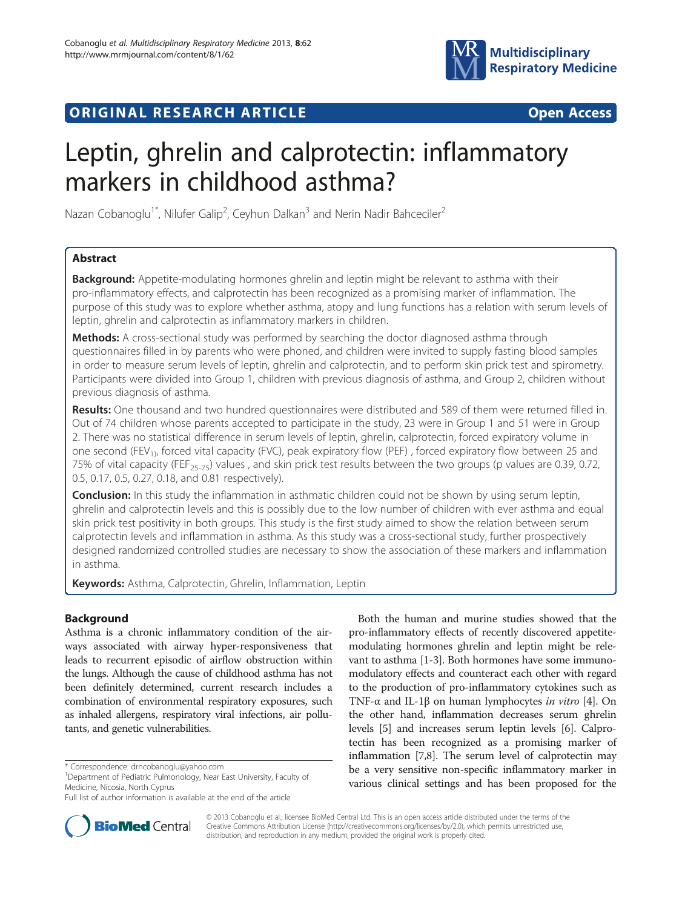# **ORIGINAL RESEARCH ARTICLE CONSUMING ACCESS**



# Leptin, ghrelin and calprotectin: inflammatory markers in childhood asthma?

Nazan Cobanoglu<sup>1\*</sup>, Nilufer Galip<sup>2</sup>, Ceyhun Dalkan<sup>3</sup> and Nerin Nadir Bahceciler<sup>2</sup>

# Abstract

**Background:** Appetite-modulating hormones ghrelin and leptin might be relevant to asthma with their pro-inflammatory effects, and calprotectin has been recognized as a promising marker of inflammation. The purpose of this study was to explore whether asthma, atopy and lung functions has a relation with serum levels of leptin, ghrelin and calprotectin as inflammatory markers in children.

Methods: A cross-sectional study was performed by searching the doctor diagnosed asthma through questionnaires filled in by parents who were phoned, and children were invited to supply fasting blood samples in order to measure serum levels of leptin, ghrelin and calprotectin, and to perform skin prick test and spirometry. Participants were divided into Group 1, children with previous diagnosis of asthma, and Group 2, children without previous diagnosis of asthma.

Results: One thousand and two hundred questionnaires were distributed and 589 of them were returned filled in. Out of 74 children whose parents accepted to participate in the study, 23 were in Group 1 and 51 were in Group 2. There was no statistical difference in serum levels of leptin, ghrelin, calprotectin, forced expiratory volume in one second (FEV<sub>1)</sub>, forced vital capacity (FVC), peak expiratory flow (PEF), forced expiratory flow between 25 and 75% of vital capacity (FEF<sub>25-75</sub>) values, and skin prick test results between the two groups (p values are 0.39, 0.72, 0.5, 0.17, 0.5, 0.27, 0.18, and 0.81 respectively).

**Conclusion:** In this study the inflammation in asthmatic children could not be shown by using serum leptin, ghrelin and calprotectin levels and this is possibly due to the low number of children with ever asthma and equal skin prick test positivity in both groups. This study is the first study aimed to show the relation between serum calprotectin levels and inflammation in asthma. As this study was a cross-sectional study, further prospectively designed randomized controlled studies are necessary to show the association of these markers and inflammation in asthma.

Keywords: Asthma, Calprotectin, Ghrelin, Inflammation, Leptin

# Background

Asthma is a chronic inflammatory condition of the airways associated with airway hyper-responsiveness that leads to recurrent episodic of airflow obstruction within the lungs. Although the cause of childhood asthma has not been definitely determined, current research includes a combination of environmental respiratory exposures, such as inhaled allergens, respiratory viral infections, air pollutants, and genetic vulnerabilities.

<sup>1</sup>Department of Pediatric Pulmonology, Near East University, Faculty of Medicine, Nicosia, North Cyprus

Both the human and murine studies showed that the pro-inflammatory effects of recently discovered appetitemodulating hormones ghrelin and leptin might be relevant to asthma [\[1-3](#page-4-0)]. Both hormones have some immunomodulatory effects and counteract each other with regard to the production of pro-inflammatory cytokines such as TNF- $\alpha$  and IL-1 $\beta$  on human lymphocytes *in vitro* [\[4](#page-4-0)]. On the other hand, inflammation decreases serum ghrelin levels [\[5](#page-4-0)] and increases serum leptin levels [\[6](#page-4-0)]. Calprotectin has been recognized as a promising marker of inflammation [[7,8](#page-4-0)]. The serum level of calprotectin may be a very sensitive non-specific inflammatory marker in various clinical settings and has been proposed for the



© 2013 Cobanoglu et al.; licensee BioMed Central Ltd. This is an open access article distributed under the terms of the Creative Commons Attribution License (<http://creativecommons.org/licenses/by/2.0>), which permits unrestricted use, distribution, and reproduction in any medium, provided the original work is properly cited.

<sup>\*</sup> Correspondence: [drncobanoglu@yahoo.com](mailto:drncobanoglu@yahoo.com) <sup>1</sup>

Full list of author information is available at the end of the article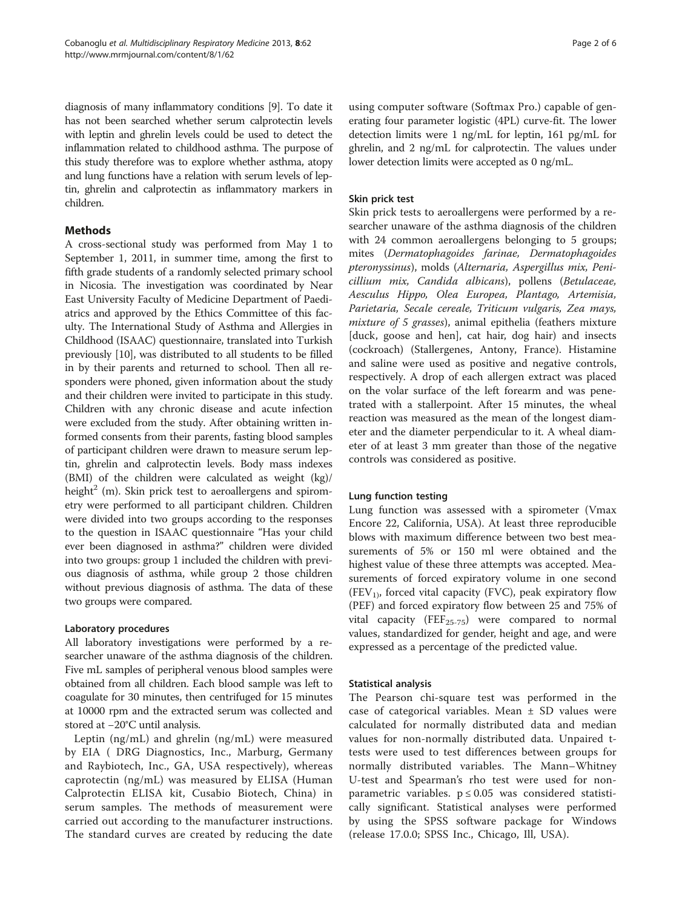diagnosis of many inflammatory conditions [\[9\]](#page-4-0). To date it has not been searched whether serum calprotectin levels with leptin and ghrelin levels could be used to detect the inflammation related to childhood asthma. The purpose of this study therefore was to explore whether asthma, atopy and lung functions have a relation with serum levels of leptin, ghrelin and calprotectin as inflammatory markers in children.

## Methods

A cross-sectional study was performed from May 1 to September 1, 2011, in summer time, among the first to fifth grade students of a randomly selected primary school in Nicosia. The investigation was coordinated by Near East University Faculty of Medicine Department of Paediatrics and approved by the Ethics Committee of this faculty. The International Study of Asthma and Allergies in Childhood (ISAAC) questionnaire, translated into Turkish previously [[10](#page-4-0)], was distributed to all students to be filled in by their parents and returned to school. Then all responders were phoned, given information about the study and their children were invited to participate in this study. Children with any chronic disease and acute infection were excluded from the study. After obtaining written informed consents from their parents, fasting blood samples of participant children were drawn to measure serum leptin, ghrelin and calprotectin levels. Body mass indexes (BMI) of the children were calculated as weight (kg)/ height<sup>2</sup> (m). Skin prick test to aeroallergens and spirometry were performed to all participant children. Children were divided into two groups according to the responses to the question in ISAAC questionnaire "Has your child ever been diagnosed in asthma?" children were divided into two groups: group 1 included the children with previous diagnosis of asthma, while group 2 those children without previous diagnosis of asthma. The data of these two groups were compared.

#### Laboratory procedures

All laboratory investigations were performed by a researcher unaware of the asthma diagnosis of the children. Five mL samples of peripheral venous blood samples were obtained from all children. Each blood sample was left to coagulate for 30 minutes, then centrifuged for 15 minutes at 10000 rpm and the extracted serum was collected and stored at −20°C until analysis.

Leptin (ng/mL) and ghrelin (ng/mL) were measured by EIA ( DRG Diagnostics, Inc., Marburg, Germany and Raybiotech, Inc., GA, USA respectively), whereas caprotectin (ng/mL) was measured by ELISA (Human Calprotectin ELISA kit, Cusabio Biotech, China) in serum samples. The methods of measurement were carried out according to the manufacturer instructions. The standard curves are created by reducing the date

using computer software (Softmax Pro.) capable of generating four parameter logistic (4PL) curve-fit. The lower detection limits were 1 ng/mL for leptin, 161 pg/mL for ghrelin, and 2 ng/mL for calprotectin. The values under lower detection limits were accepted as 0 ng/mL.

#### Skin prick test

Skin prick tests to aeroallergens were performed by a researcher unaware of the asthma diagnosis of the children with 24 common aeroallergens belonging to 5 groups; mites (Dermatophagoides farinae, Dermatophagoides pteronyssinus), molds (Alternaria, Aspergillus mix, Penicillium mix, Candida albicans), pollens (Betulaceae, Aesculus Hippo, Olea Europea, Plantago, Artemisia, Parietaria, Secale cereale, Triticum vulgaris, Zea mays, mixture of 5 grasses), animal epithelia (feathers mixture [duck, goose and hen], cat hair, dog hair) and insects (cockroach) (Stallergenes, Antony, France). Histamine and saline were used as positive and negative controls, respectively. A drop of each allergen extract was placed on the volar surface of the left forearm and was penetrated with a stallerpoint. After 15 minutes, the wheal reaction was measured as the mean of the longest diameter and the diameter perpendicular to it. A wheal diameter of at least 3 mm greater than those of the negative controls was considered as positive.

#### Lung function testing

Lung function was assessed with a spirometer (Vmax Encore 22, California, USA). At least three reproducible blows with maximum difference between two best measurements of 5% or 150 ml were obtained and the highest value of these three attempts was accepted. Measurements of forced expiratory volume in one second  $(FEV<sub>1</sub>)$ , forced vital capacity (FVC), peak expiratory flow (PEF) and forced expiratory flow between 25 and 75% of vital capacity ( $\text{FEF}_{25-75}$ ) were compared to normal values, standardized for gender, height and age, and were expressed as a percentage of the predicted value.

#### Statistical analysis

The Pearson chi-square test was performed in the case of categorical variables. Mean  $\pm$  SD values were calculated for normally distributed data and median values for non-normally distributed data. Unpaired ttests were used to test differences between groups for normally distributed variables. The Mann–Whitney U-test and Spearman's rho test were used for nonparametric variables.  $p \leq 0.05$  was considered statistically significant. Statistical analyses were performed by using the SPSS software package for Windows (release 17.0.0; SPSS Inc., Chicago, Ill, USA).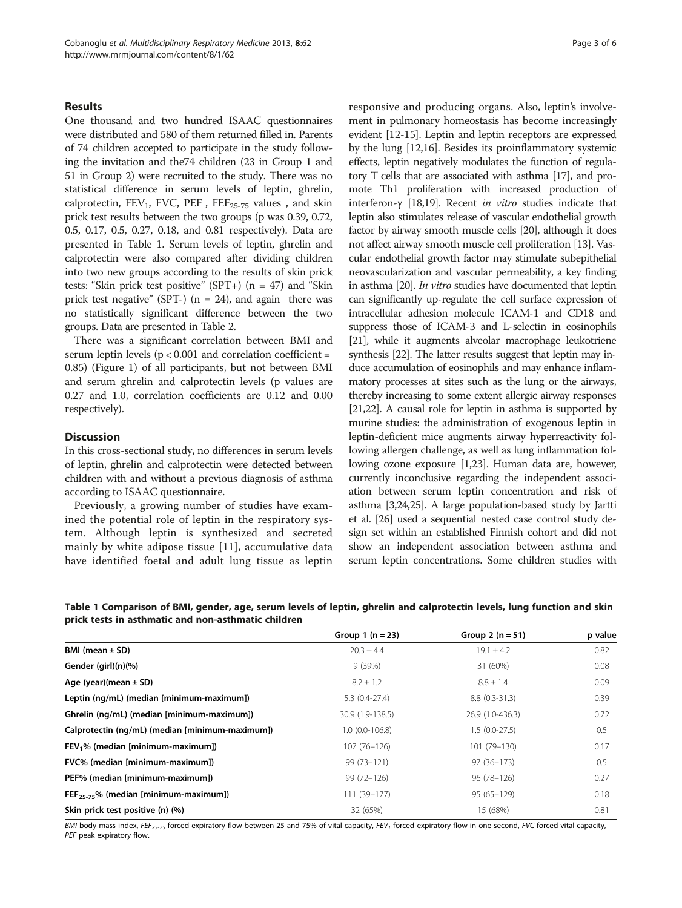#### Results

One thousand and two hundred ISAAC questionnaires were distributed and 580 of them returned filled in. Parents of 74 children accepted to participate in the study following the invitation and the74 children (23 in Group 1 and 51 in Group 2) were recruited to the study. There was no statistical difference in serum levels of leptin, ghrelin, calprotectin,  $FEV_1$ ,  $FVC$ ,  $PEF$ ,  $FEF_{25-75}$  values, and skin prick test results between the two groups (p was 0.39, 0.72, 0.5, 0.17, 0.5, 0.27, 0.18, and 0.81 respectively). Data are presented in Table 1. Serum levels of leptin, ghrelin and calprotectin were also compared after dividing children into two new groups according to the results of skin prick tests: "Skin prick test positive" (SPT+)  $(n = 47)$  and "Skin prick test negative" (SPT-)  $(n = 24)$ , and again there was no statistically significant difference between the two groups. Data are presented in Table [2](#page-3-0).

There was a significant correlation between BMI and serum leptin levels ( $p < 0.001$  and correlation coefficient = 0.85) (Figure [1](#page-3-0)) of all participants, but not between BMI and serum ghrelin and calprotectin levels (p values are 0.27 and 1.0, correlation coefficients are 0.12 and 0.00 respectively).

# **Discussion**

In this cross-sectional study, no differences in serum levels of leptin, ghrelin and calprotectin were detected between children with and without a previous diagnosis of asthma according to ISAAC questionnaire.

Previously, a growing number of studies have examined the potential role of leptin in the respiratory system. Although leptin is synthesized and secreted mainly by white adipose tissue [[11\]](#page-4-0), accumulative data have identified foetal and adult lung tissue as leptin responsive and producing organs. Also, leptin's involvement in pulmonary homeostasis has become increasingly evident [\[12-15\]](#page-4-0). Leptin and leptin receptors are expressed by the lung [\[12,16](#page-4-0)]. Besides its proinflammatory systemic effects, leptin negatively modulates the function of regulatory T cells that are associated with asthma [[17](#page-4-0)], and promote Th1 proliferation with increased production of interferon-γ [\[18,19](#page-4-0)]. Recent in vitro studies indicate that leptin also stimulates release of vascular endothelial growth factor by airway smooth muscle cells [\[20\]](#page-4-0), although it does not affect airway smooth muscle cell proliferation [\[13](#page-4-0)]. Vascular endothelial growth factor may stimulate subepithelial neovascularization and vascular permeability, a key finding in asthma [[20](#page-4-0)]. In vitro studies have documented that leptin can significantly up-regulate the cell surface expression of intracellular adhesion molecule ICAM-1 and CD18 and suppress those of ICAM-3 and L-selectin in eosinophils [[21](#page-4-0)], while it augments alveolar macrophage leukotriene synthesis [[22](#page-4-0)]. The latter results suggest that leptin may induce accumulation of eosinophils and may enhance inflammatory processes at sites such as the lung or the airways, thereby increasing to some extent allergic airway responses [[21,22\]](#page-4-0). A causal role for leptin in asthma is supported by murine studies: the administration of exogenous leptin in leptin-deficient mice augments airway hyperreactivity following allergen challenge, as well as lung inflammation following ozone exposure [\[1](#page-4-0)[,23\]](#page-5-0). Human data are, however, currently inconclusive regarding the independent association between serum leptin concentration and risk of asthma [\[3,](#page-4-0)[24,25\]](#page-5-0). A large population-based study by Jartti et al. [[26](#page-5-0)] used a sequential nested case control study design set within an established Finnish cohort and did not show an independent association between asthma and serum leptin concentrations. Some children studies with

Table 1 Comparison of BMI, gender, age, serum levels of leptin, ghrelin and calprotectin levels, lung function and skin prick tests in asthmatic and non-asthmatic children

|                                                 | Group $1(n = 23)$ | Group 2 $(n = 51)$ | p value |
|-------------------------------------------------|-------------------|--------------------|---------|
| BMI (mean $\pm$ SD)                             | $20.3 \pm 4.4$    | $19.1 \pm 4.2$     | 0.82    |
| Gender (girl)(n)(%)                             | 9(39%)            | 31 (60%)           | 0.08    |
| Age (year)(mean $\pm$ SD)                       | $8.2 \pm 1.2$     | $8.8 \pm 1.4$      | 0.09    |
| Leptin (ng/mL) (median [minimum-maximum])       | $5.3(0.4-27.4)$   | $8.8(0.3-31.3)$    | 0.39    |
| Ghrelin (ng/mL) (median [minimum-maximum])      | 30.9 (1.9-138.5)  | 26.9 (1.0-436.3)   | 0.72    |
| Calprotectin (ng/mL) (median [minimum-maximum]) | $1.0(0.0-106.8)$  | $1.5(0.0-27.5)$    | 0.5     |
| $FEV1$ % (median [minimum-maximum])             | $107(76 - 126)$   | 101 (79-130)       | 0.17    |
| FVC% (median [minimum-maximum])                 | $99(73 - 121)$    | $97(36 - 173)$     | 0.5     |
| PEF% (median [minimum-maximum])                 | 99 (72-126)       | $96(78-126)$       | 0.27    |
| $FEF_{25-75}$ % (median [minimum-maximum])      | $111(39-177)$     | $95(65 - 129)$     | 0.18    |
| Skin prick test positive (n) (%)                | 32 (65%)          | 15 (68%)           | 0.81    |

BMI body mass index, FEF<sub>25-75</sub> forced expiratory flow between 25 and 75% of vital capacity, FEV<sub>1</sub> forced expiratory flow in one second, FVC forced vital capacity, PEF peak expiratory flow.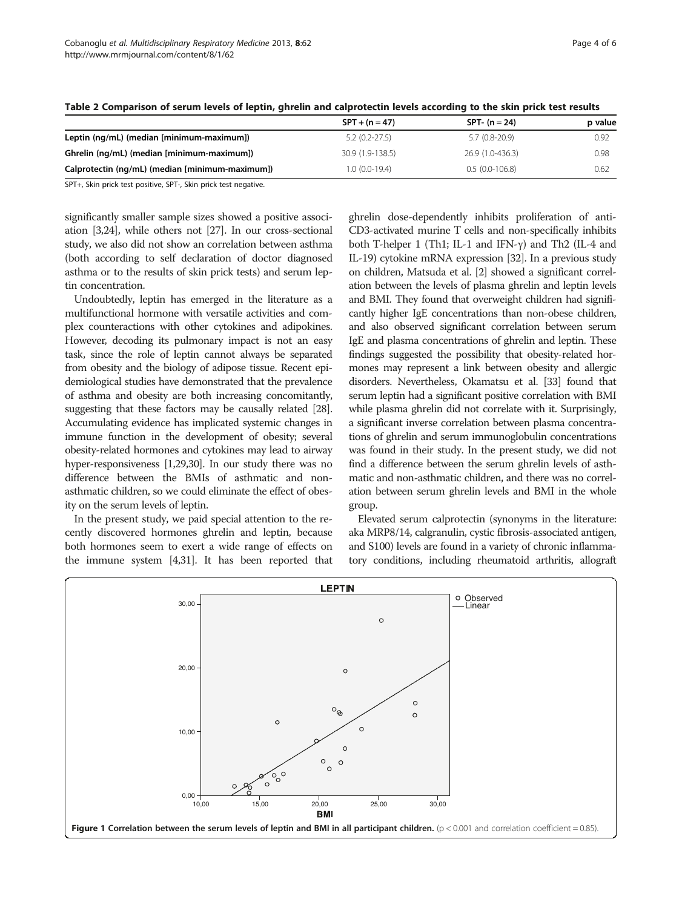|                                                 | $SPT + (n = 47)$ | $SPT - (n = 24)$ | p value |
|-------------------------------------------------|------------------|------------------|---------|
| Leptin (ng/mL) (median [minimum-maximum])       | $5.2(0.2-27.5)$  | $5.7(0.8-20.9)$  | 0.92    |
| Ghrelin (ng/mL) (median [minimum-maximum])      | 30.9 (1.9-138.5) | 26.9 (1.0-436.3) | 0.98    |
| Calprotectin (ng/mL) (median [minimum-maximum]) | 1.0 (0.0-19.4)   | $0.5(0.0-106.8)$ | 0.62    |

<span id="page-3-0"></span>Table 2 Comparison of serum levels of leptin, ghrelin and calprotectin levels according to the skin prick test results

SPT+, Skin prick test positive, SPT-, Skin prick test negative.

significantly smaller sample sizes showed a positive association [[3](#page-4-0)[,24](#page-5-0)], while others not [\[27\]](#page-5-0). In our cross-sectional study, we also did not show an correlation between asthma (both according to self declaration of doctor diagnosed asthma or to the results of skin prick tests) and serum leptin concentration.

Undoubtedly, leptin has emerged in the literature as a multifunctional hormone with versatile activities and complex counteractions with other cytokines and adipokines. However, decoding its pulmonary impact is not an easy task, since the role of leptin cannot always be separated from obesity and the biology of adipose tissue. Recent epidemiological studies have demonstrated that the prevalence of asthma and obesity are both increasing concomitantly, suggesting that these factors may be causally related [\[28](#page-5-0)]. Accumulating evidence has implicated systemic changes in immune function in the development of obesity; several obesity-related hormones and cytokines may lead to airway hyper-responsiveness [\[1](#page-4-0)[,29,30\]](#page-5-0). In our study there was no difference between the BMIs of asthmatic and nonasthmatic children, so we could eliminate the effect of obesity on the serum levels of leptin.

In the present study, we paid special attention to the recently discovered hormones ghrelin and leptin, because both hormones seem to exert a wide range of effects on the immune system [[4,](#page-4-0)[31](#page-5-0)]. It has been reported that

ghrelin dose-dependently inhibits proliferation of anti-CD3-activated murine T cells and non-specifically inhibits both T-helper 1 (Th1; IL-1 and IFN-γ) and Th2 (IL-4 and IL-19) cytokine mRNA expression [[32](#page-5-0)]. In a previous study on children, Matsuda et al. [\[2\]](#page-4-0) showed a significant correlation between the levels of plasma ghrelin and leptin levels and BMI. They found that overweight children had significantly higher IgE concentrations than non-obese children, and also observed significant correlation between serum IgE and plasma concentrations of ghrelin and leptin. These findings suggested the possibility that obesity-related hormones may represent a link between obesity and allergic disorders. Nevertheless, Okamatsu et al. [\[33](#page-5-0)] found that serum leptin had a significant positive correlation with BMI while plasma ghrelin did not correlate with it. Surprisingly, a significant inverse correlation between plasma concentrations of ghrelin and serum immunoglobulin concentrations was found in their study. In the present study, we did not find a difference between the serum ghrelin levels of asthmatic and non-asthmatic children, and there was no correlation between serum ghrelin levels and BMI in the whole group.

Elevated serum calprotectin (synonyms in the literature: aka MRP8/14, calgranulin, cystic fibrosis-associated antigen, and S100) levels are found in a variety of chronic inflammatory conditions, including rheumatoid arthritis, allograft

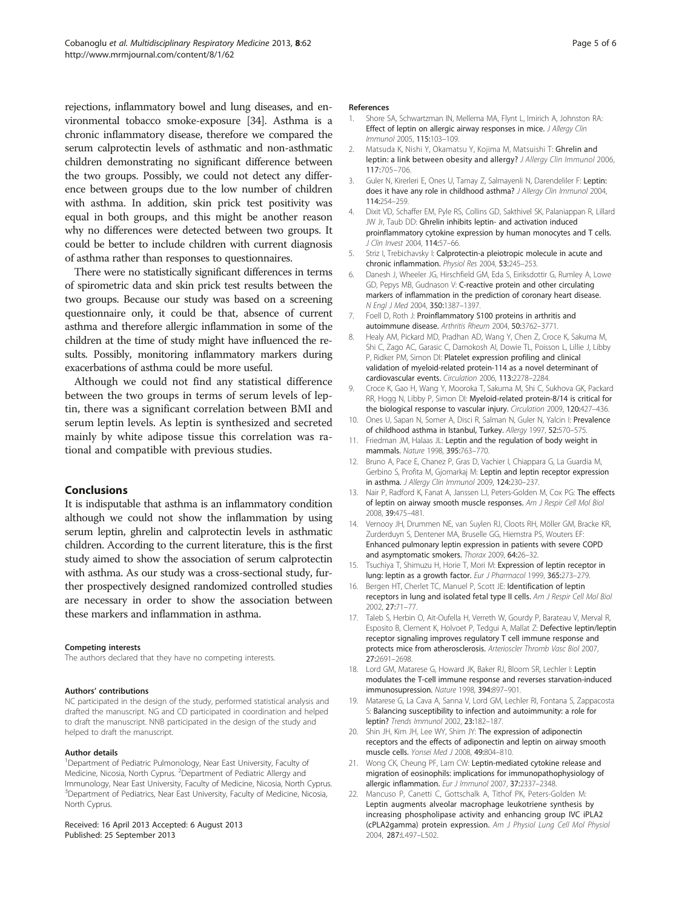<span id="page-4-0"></span>rejections, inflammatory bowel and lung diseases, and environmental tobacco smoke-exposure [[34](#page-5-0)]. Asthma is a chronic inflammatory disease, therefore we compared the serum calprotectin levels of asthmatic and non-asthmatic children demonstrating no significant difference between the two groups. Possibly, we could not detect any difference between groups due to the low number of children with asthma. In addition, skin prick test positivity was equal in both groups, and this might be another reason why no differences were detected between two groups. It could be better to include children with current diagnosis of asthma rather than responses to questionnaires.

There were no statistically significant differences in terms of spirometric data and skin prick test results between the two groups. Because our study was based on a screening questionnaire only, it could be that, absence of current asthma and therefore allergic inflammation in some of the children at the time of study might have influenced the results. Possibly, monitoring inflammatory markers during exacerbations of asthma could be more useful.

Although we could not find any statistical difference between the two groups in terms of serum levels of leptin, there was a significant correlation between BMI and serum leptin levels. As leptin is synthesized and secreted mainly by white adipose tissue this correlation was rational and compatible with previous studies.

### Conclusions

It is indisputable that asthma is an inflammatory condition although we could not show the inflammation by using serum leptin, ghrelin and calprotectin levels in asthmatic children. According to the current literature, this is the first study aimed to show the association of serum calprotectin with asthma. As our study was a cross-sectional study, further prospectively designed randomized controlled studies are necessary in order to show the association between these markers and inflammation in asthma.

#### Competing interests

The authors declared that they have no competing interests.

#### Authors' contributions

NC participated in the design of the study, performed statistical analysis and drafted the manuscript. NG and CD participated in coordination and helped to draft the manuscript. NNB participated in the design of the study and helped to draft the manuscript.

#### Author details

<sup>1</sup>Department of Pediatric Pulmonology, Near East University, Faculty of Medicine, Nicosia, North Cyprus. <sup>2</sup>Department of Pediatric Allergy and Immunology, Near East University, Faculty of Medicine, Nicosia, North Cyprus. <sup>3</sup>Department of Pediatrics, Near East University, Faculty of Medicine, Nicosia, North Cyprus.

Received: 16 April 2013 Accepted: 6 August 2013 Published: 25 September 2013

#### References

- 1. Shore SA, Schwartzman IN, Mellema MA, Flynt L, Imirich A, Johnston RA: Effect of leptin on allergic airway responses in mice. J Allergy Clin Immunol 2005, 115:103–109.
- 2. Matsuda K, Nishi Y, Okamatsu Y, Kojima M, Matsuishi T: Ghrelin and leptin: a link between obesity and allergy? J Allergy Clin Immunol 2006, 117:705–706.
- 3. Guler N, Kirerleri E, Ones U, Tamay Z, Salmayenli N, Darendeliler F: Leptin: does it have any role in childhood asthma? J Allergy Clin Immunol 2004, 114:254–259.
- 4. Dixit VD, Schaffer EM, Pyle RS, Collins GD, Sakthivel SK, Palaniappan R, Lillard JW Jr, Taub DD: Ghrelin inhibits leptin- and activation induced proinflammatory cytokine expression by human monocytes and T cells. J Clin Invest 2004, 114:57–66.
- 5. Striz I, Trebichavsky I: Calprotectin-a pleiotropic molecule in acute and chronic inflammation. Physiol Res 2004, 53:245–253.
- 6. Danesh J, Wheeler JG, Hirschfield GM, Eda S, Eiriksdottir G, Rumley A, Lowe GD, Pepys MB, Gudnason V: C-reactive protein and other circulating markers of inflammation in the prediction of coronary heart disease. N Engl J Med 2004, 350:1387–1397.
- 7. Foell D, Roth J: Proinflammatory S100 proteins in arthritis and autoimmune disease. Arthritis Rheum 2004, 50:3762–3771.
- 8. Healy AM, Pickard MD, Pradhan AD, Wang Y, Chen Z, Croce K, Sakuma M, Shi C, Zago AC, Garasic C, Damokosh AI, Dowie TL, Poisson L, Lillie J, Libby P, Ridker PM, Simon DI: Platelet expression profiling and clinical validation of myeloid-related protein-114 as a novel determinant of cardiovascular events. Circulation 2006, 113:2278–2284.
- 9. Croce K, Gao H, Wang Y, Mooroka T, Sakuma M, Shi C, Sukhova GK, Packard RR, Hogg N, Libby P, Simon DI: Myeloid-related protein-8/14 is critical for the biological response to vascular injury. Circulation 2009, 120:427–436.
- 10. Ones U, Sapan N, Somer A, Disci R, Salman N, Guler N, Yalcin I: Prevalence of childhood asthma in Istanbul, Turkey. Allergy 1997, 52:570–575.
- 11. Friedman JM, Halaas JL: Leptin and the regulation of body weight in mammals. Nature 1998, 395:763–770.
- 12. Bruno A, Pace E, Chanez P, Gras D, Vachier I, Chiappara G, La Guardia M, Gerbino S, Profita M, Gjomarkaj M: Leptin and leptin receptor expression in asthma. J Allergy Clin Immunol 2009, 124:230–237.
- 13. Nair P, Radford K, Fanat A, Janssen LJ, Peters-Golden M, Cox PG: The effects of leptin on airway smooth muscle responses. Am J Respir Cell Mol Biol 2008, 39:475–481.
- 14. Vernooy JH, Drummen NE, van Suylen RJ, Cloots RH, Möller GM, Bracke KR, Zurderduyn S, Dentener MA, Bruselle GG, Hiemstra PS, Wouters EF: Enhanced pulmonary leptin expression in patients with severe COPD and asymptomatic smokers. Thorax 2009, 64:26–32.
- 15. Tsuchiya T, Shimuzu H, Horie T, Mori M: Expression of leptin receptor in lung: leptin as a growth factor. Eur J Pharmacol 1999, 365:273–279.
- 16. Bergen HT, Cherlet TC, Manuel P, Scott JE: Identification of leptin receptors in lung and isolated fetal type II cells. Am J Respir Cell Mol Biol 2002, 27:71–77.
- 17. Taleb S, Herbin O, Ait-Oufella H, Verreth W, Gourdy P, Barateau V, Merval R, Esposito B, Clement K, Holvoet P, Tedgui A, Mallat Z: Defective leptin/leptin receptor signaling improves regulatory T cell immune response and protects mice from atherosclerosis. Arterioscler Thromb Vasc Biol 2007, 27:2691–2698.
- 18. Lord GM, Matarese G, Howard JK, Baker RJ, Bloom SR, Lechler I: Leptin modulates the T-cell immune response and reverses starvation-induced immunosupression. Nature 1998, 394:897–901.
- 19. Matarese G, La Cava A, Sanna V, Lord GM, Lechler RI, Fontana S, Zappacosta S: Balancing susceptibility to infection and autoimmunity: a role for leptin? Trends Immunol 2002, 23:182–187.
- 20. Shin JH, Kim JH, Lee WY, Shim JY: The expression of adiponectin receptors and the effects of adiponectin and leptin on airway smooth muscle cells. Yonsei Med J 2008, 49:804–810.
- 21. Wong CK, Cheung PF, Lam CW: Leptin-mediated cytokine release and migration of eosinophils: implications for immunopathophysiology of allergic inflammation. Eur J Immunol 2007, 37:2337–2348.
- 22. Mancuso P, Canetti C, Gottschalk A, Tithof PK, Peters-Golden M: Leptin augments alveolar macrophage leukotriene synthesis by increasing phospholipase activity and enhancing group IVC iPLA2 (cPLA2gamma) protein expression. Am J Physiol Lung Cell Mol Physiol 2004, 287:L497–L502.